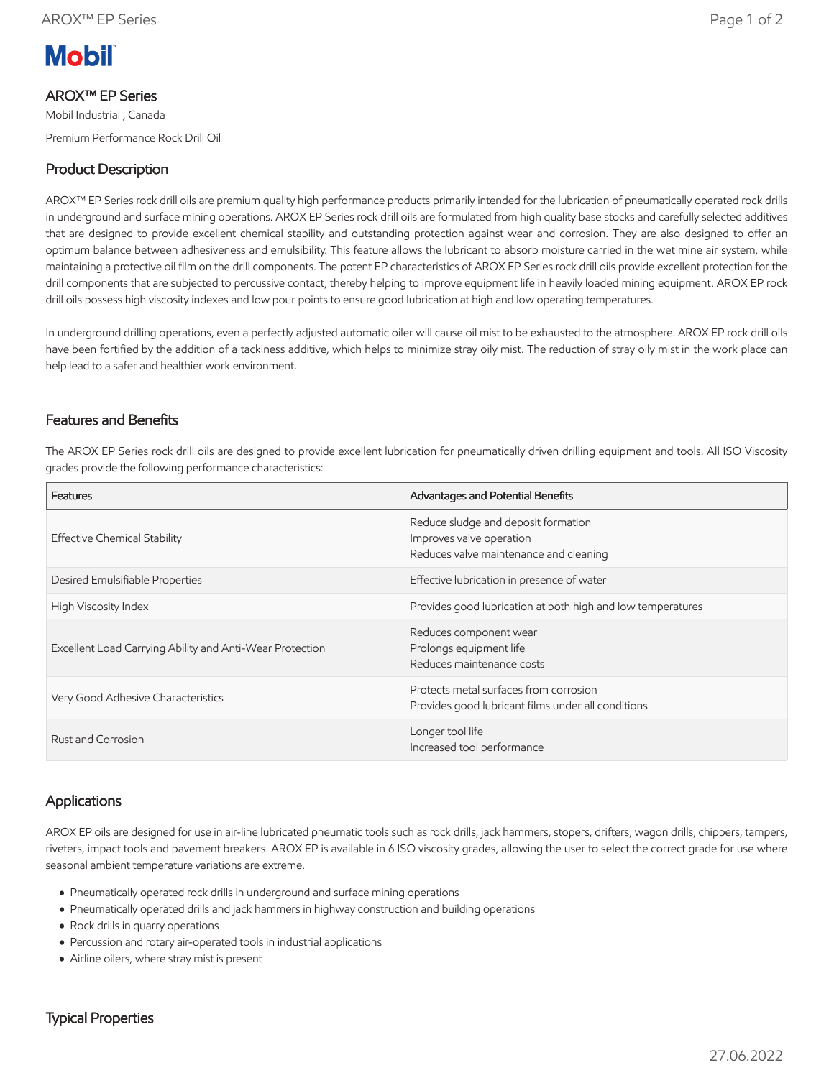

### AROX™ EP Series

Mobil Industrial , Canada Premium Performance Rock Drill Oil

# Product Description

AROX™ EP Series rock drill oils are premium quality high performance products primarily intended for the lubrication of pneumatically operated rock drills in underground and surface mining operations. AROX EP Series rock drill oils are formulated from high quality base stocks and carefully selected additives that are designed to provide excellent chemical stability and outstanding protection against wear and corrosion. They are also designed to offer an optimum balance between adhesiveness and emulsibility. This feature allows the lubricant to absorb moisture carried in the wet mine air system, while maintaining a protective oil film on the drill components. The potent EP characteristics of AROX EP Series rock drill oils provide excellent protection for the drill components that are subjected to percussive contact, thereby helping to improve equipment life in heavily loaded mining equipment. AROX EP rock drill oils possess high viscosity indexes and low pour points to ensure good lubrication at high and low operating temperatures.

In underground drilling operations, even a perfectly adjusted automatic oiler will cause oil mist to be exhausted to the atmosphere. AROX EP rock drill oils have been fortified by the addition of a tackiness additive, which helps to minimize stray oily mist. The reduction of stray oily mist in the work place can help lead to a safer and healthier work environment.

### Features and Benefits

The AROX EP Series rock drill oils are designed to provide excellent lubrication for pneumatically driven drilling equipment and tools. All ISO Viscosity grades provide the following performance characteristics:

| Features                                                 | Advantages and Potential Benefits                                                                         |  |  |
|----------------------------------------------------------|-----------------------------------------------------------------------------------------------------------|--|--|
| <b>Effective Chemical Stability</b>                      | Reduce sludge and deposit formation<br>Improves valve operation<br>Reduces valve maintenance and cleaning |  |  |
| Desired Emulsifiable Properties                          | Effective lubrication in presence of water                                                                |  |  |
| High Viscosity Index                                     | Provides good lubrication at both high and low temperatures                                               |  |  |
| Excellent Load Carrying Ability and Anti-Wear Protection | Reduces component wear<br>Prolongs equipment life<br>Reduces maintenance costs                            |  |  |
| Very Good Adhesive Characteristics                       | Protects metal surfaces from corrosion<br>Provides good lubricant films under all conditions              |  |  |
| Rust and Corrosion                                       | Longer tool life<br>Increased tool performance                                                            |  |  |

## **Applications**

AROX EP oils are designed for use in air-line lubricated pneumatic tools such as rock drills, jack hammers, stopers, drifters, wagon drills, chippers, tampers, riveters, impact tools and pavement breakers. AROX EP is available in 6 ISO viscosity grades, allowing the user to select the correct grade for use where seasonal ambient temperature variations are extreme.

- Pneumatically operated rock drills in underground and surface mining operations
- Pneumatically operated drills and jack hammers in highway construction and building operations
- Rock drills in quarry operations
- Percussion and rotary air-operated tools in industrial applications
- Airline oilers, where stray mist is present